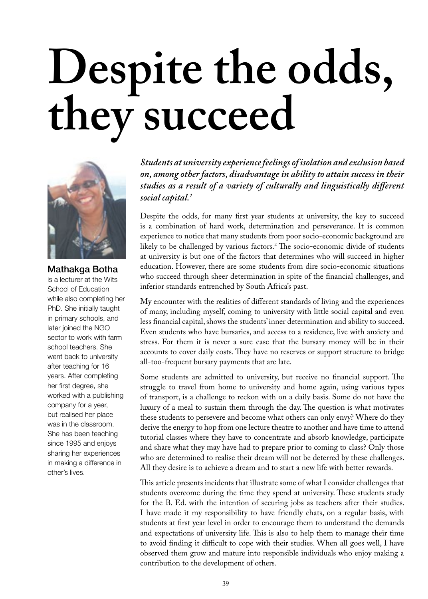## **Despite the odds, they succeed**



Mathakga Botha is a lecturer at the Wits School of Education while also completing her PhD. She initially taught in primary schools, and later joined the NGO sector to work with farm school teachers. She went back to university after teaching for 16 years. After completing her first degree, she worked with a publishing company for a year, but realised her place was in the classroom. She has been teaching since 1995 and enjoys sharing her experiences in making a difference in other's lives.

*Students at university experience feelings of isolation and exclusion based on, among other factors, disadvantage in ability to attain success in their studies as a result of a variety of culturally and linguistically di!erent social capital.1*

Despite the odds, for many first year students at university, the key to succeed is a combination of hard work, determination and perseverance. It is common experience to notice that many students from poor socio-economic background are likely to be challenged by various factors.<sup>2</sup> The socio-economic divide of students at university is but one of the factors that determines who will succeed in higher education. However, there are some students from dire socio-economic situations who succeed through sheer determination in spite of the financial challenges, and inferior standards entrenched by South Africa's past.

My encounter with the realities of different standards of living and the experiences of many, including myself, coming to university with little social capital and even less financial capital, shows the students' inner determination and ability to succeed. Even students who have bursaries, and access to a residence, live with anxiety and stress. For them it is never a sure case that the bursary money will be in their accounts to cover daily costs. They have no reserves or support structure to bridge all-too-frequent bursary payments that are late.

Some students are admitted to university, but receive no financial support. The struggle to travel from home to university and home again, using various types of transport, is a challenge to reckon with on a daily basis. Some do not have the luxury of a meal to sustain them through the day. The question is what motivates these students to persevere and become what others can only envy? Where do they derive the energy to hop from one lecture theatre to another and have time to attend tutorial classes where they have to concentrate and absorb knowledge, participate and share what they may have had to prepare prior to coming to class? Only those who are determined to realise their dream will not be deterred by these challenges. All they desire is to achieve a dream and to start a new life with better rewards.

This article presents incidents that illustrate some of what I consider challenges that students overcome during the time they spend at university. These students study for the B. Ed. with the intention of securing jobs as teachers after their studies. I have made it my responsibility to have friendly chats, on a regular basis, with students at first year level in order to encourage them to understand the demands and expectations of university life. This is also to help them to manage their time to avoid finding it difficult to cope with their studies. When all goes well, I have observed them grow and mature into responsible individuals who enjoy making a contribution to the development of others.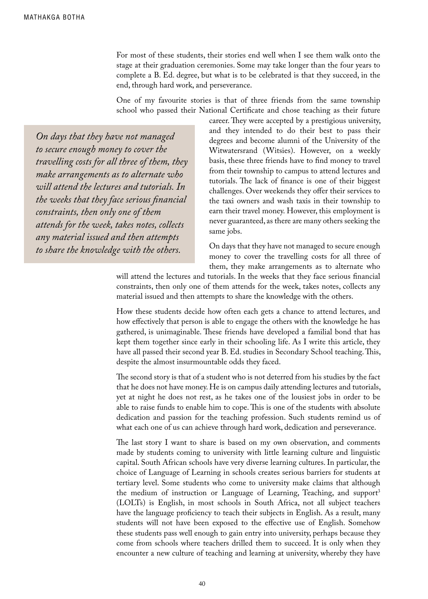For most of these students, their stories end well when I see them walk onto the stage at their graduation ceremonies. Some may take longer than the four years to complete a B. Ed. degree, but what is to be celebrated is that they succeed, in the end, through hard work, and perseverance.

One of my favourite stories is that of three friends from the same township school who passed their National Certificate and chose teaching as their future

*On days that they have not managed to secure enough money to cover the travelling costs for all three of them, they make arrangements as to alternate who will attend the lectures and tutorials. In the weeks that they face serious !nancial constraints, then only one of them attends for the week, takes notes, collects any material issued and then attempts to share the knowledge with the others.* 

career. They were accepted by a prestigious university, and they intended to do their best to pass their degrees and become alumni of the University of the Witwatersrand (Witsies). However, on a weekly basis, these three friends have to find money to travel from their township to campus to attend lectures and tutorials. The lack of finance is one of their biggest challenges. Over weekends they offer their services to the taxi owners and wash taxis in their township to earn their travel money. However, this employment is never guaranteed, as there are many others seeking the same jobs.

On days that they have not managed to secure enough money to cover the travelling costs for all three of them, they make arrangements as to alternate who

will attend the lectures and tutorials. In the weeks that they face serious financial constraints, then only one of them attends for the week, takes notes, collects any material issued and then attempts to share the knowledge with the others.

How these students decide how often each gets a chance to attend lectures, and how effectively that person is able to engage the others with the knowledge he has gathered, is unimaginable. These friends have developed a familial bond that has kept them together since early in their schooling life. As I write this article, they have all passed their second year B. Ed. studies in Secondary School teaching. This, despite the almost insurmountable odds they faced.

The second story is that of a student who is not deterred from his studies by the fact that he does not have money. He is on campus daily attending lectures and tutorials, yet at night he does not rest, as he takes one of the lousiest jobs in order to be able to raise funds to enable him to cope. This is one of the students with absolute dedication and passion for the teaching profession. Such students remind us of what each one of us can achieve through hard work, dedication and perseverance.

The last story I want to share is based on my own observation, and comments made by students coming to university with little learning culture and linguistic capital. South African schools have very diverse learning cultures. In particular, the choice of Language of Learning in schools creates serious barriers for students at tertiary level. Some students who come to university make claims that although the medium of instruction or Language of Learning, Teaching, and support<sup>3</sup> (LOLTs) is English, in most schools in South Africa, not all subject teachers have the language proficiency to teach their subjects in English. As a result, many students will not have been exposed to the effective use of English. Somehow these students pass well enough to gain entry into university, perhaps because they come from schools where teachers drilled them to succeed. It is only when they encounter a new culture of teaching and learning at university, whereby they have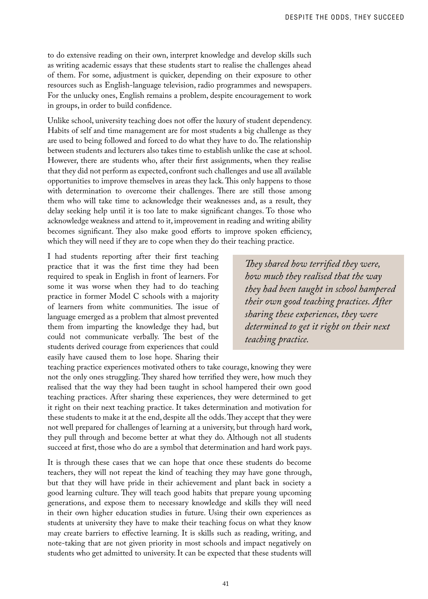to do extensive reading on their own, interpret knowledge and develop skills such as writing academic essays that these students start to realise the challenges ahead of them. For some, adjustment is quicker, depending on their exposure to other resources such as English-language television, radio programmes and newspapers. For the unlucky ones, English remains a problem, despite encouragement to work in groups, in order to build confidence.

Unlike school, university teaching does not offer the luxury of student dependency. Habits of self and time management are for most students a big challenge as they are used to being followed and forced to do what they have to do. The relationship between students and lecturers also takes time to establish unlike the case at school. However, there are students who, after their first assignments, when they realise that they did not perform as expected, confront such challenges and use all available opportunities to improve themselves in areas they lack. #is only happens to those with determination to overcome their challenges. There are still those among them who will take time to acknowledge their weaknesses and, as a result, they delay seeking help until it is too late to make significant changes. To those who acknowledge weakness and attend to it, improvement in reading and writing ability becomes significant. They also make good efforts to improve spoken efficiency, which they will need if they are to cope when they do their teaching practice.

I had students reporting after their first teaching practice that it was the first time they had been required to speak in English in front of learners. For some it was worse when they had to do teaching practice in former Model C schools with a majority of learners from white communities. The issue of language emerged as a problem that almost prevented them from imparting the knowledge they had, but could not communicate verbally. The best of the students derived courage from experiences that could easily have caused them to lose hope. Sharing their

*!ey shared how terri"ed they were, how much they realised that the way they had been taught in school hampered their own good teaching practices. After sharing these experiences, they were determined to get it right on their next teaching practice.*

teaching practice experiences motivated others to take courage, knowing they were not the only ones struggling. They shared how terrified they were, how much they realised that the way they had been taught in school hampered their own good teaching practices. After sharing these experiences, they were determined to get it right on their next teaching practice. It takes determination and motivation for these students to make it at the end, despite all the odds. They accept that they were not well prepared for challenges of learning at a university, but through hard work, they pull through and become better at what they do. Although not all students succeed at first, those who do are a symbol that determination and hard work pays.

It is through these cases that we can hope that once these students do become teachers, they will not repeat the kind of teaching they may have gone through, but that they will have pride in their achievement and plant back in society a good learning culture. They will teach good habits that prepare young upcoming generations, and expose them to necessary knowledge and skills they will need in their own higher education studies in future. Using their own experiences as students at university they have to make their teaching focus on what they know may create barriers to effective learning. It is skills such as reading, writing, and note-taking that are not given priority in most schools and impact negatively on students who get admitted to university. It can be expected that these students will